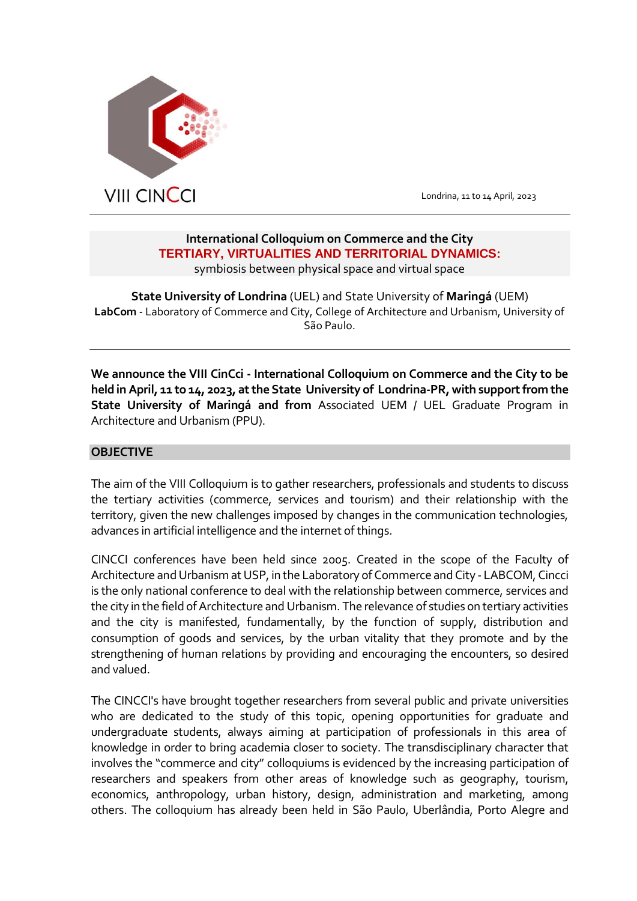

 $\overline{a}$ 

Londrina, 11 to 14 April, 2023

# **International Colloquium on Commerce and the City TERTIARY, VIRTUALITIES AND TERRITORIAL DYNAMICS:** symbiosis between physical space and virtual space

**State University of Londrina** (UEL) and State University of **Maringá** (UEM) **LabCom** - Laboratory of Commerce and City, College of Architecture and Urbanism, University of São Paulo.

**We announce the VIII CinCci - International Colloquium on Commerce and the City to be held in April, 11 to 14, 2023, at the State University of Londrina-PR, with support from the State University of Maringá and from** Associated UEM / UEL Graduate Program in Architecture and Urbanism (PPU).

# **OBJECTIVE**

The aim of the VIII Colloquium is to gather researchers, professionals and students to discuss the tertiary activities (commerce, services and tourism) and their relationship with the territory, given the new challenges imposed by changes in the communication technologies, advances in artificial intelligence and the internet of things.

CINCCI conferences have been held since 2005. Created in the scope of the Faculty of Architecture and Urbanism at USP, in the Laboratory of Commerce and City - LABCOM, Cincci is the only national conference to deal with the relationship between commerce, services and the city in the field of Architecture and Urbanism. The relevance of studies on tertiary activities and the city is manifested, fundamentally, by the function of supply, distribution and consumption of goods and services, by the urban vitality that they promote and by the strengthening of human relations by providing and encouraging the encounters, so desired and valued.

The CINCCI's have brought together researchers from several public and private universities who are dedicated to the study of this topic, opening opportunities for graduate and undergraduate students, always aiming at participation of professionals in this area of knowledge in order to bring academia closer to society. The transdisciplinary character that involves the "commerce and city" colloquiums is evidenced by the increasing participation of researchers and speakers from other areas of knowledge such as geography, tourism, economics, anthropology, urban history, design, administration and marketing, among others. The colloquium has already been held in São Paulo, Uberlândia, Porto Alegre and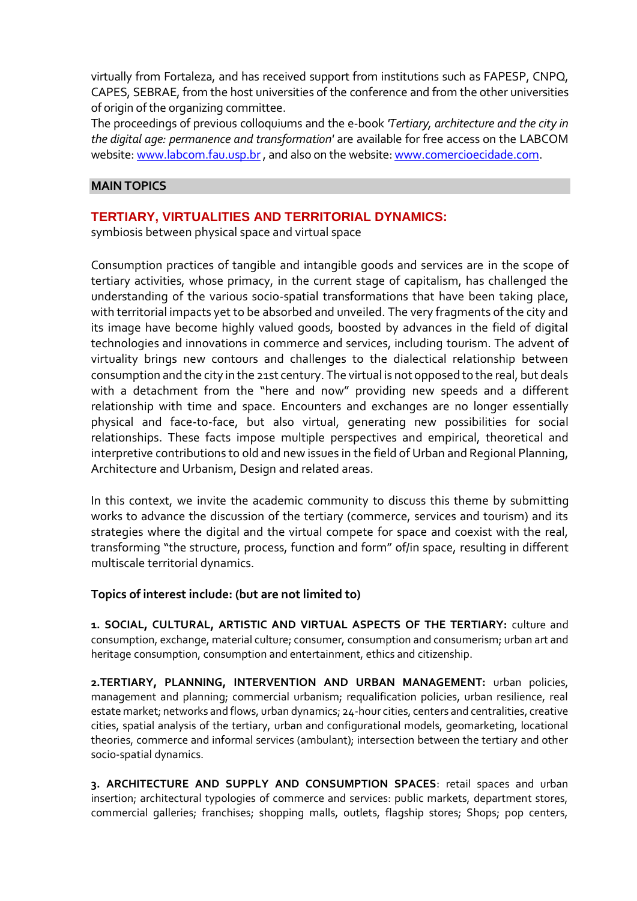virtually from Fortaleza, and has received support from institutions such as FAPESP, CNPQ, CAPES, SEBRAE, from the host universities of the conference and from the other universities of origin of the organizing committee.

The proceedings of previous colloquiums and the e-book *'Tertiary, architecture and the city in the digital age: permanence and transformation'* are available for free access on the LABCOM website: [www.labcom.fau.usp.br,](http://www.labcom.fau.usp.br/) and also on the website: [www.comercioecidade.com.](http://www.comercioecidade.com/)

### **MAIN TOPICS**

# **TERTIARY, VIRTUALITIES AND TERRITORIAL DYNAMICS:**

symbiosis between physical space and virtual space

Consumption practices of tangible and intangible goods and services are in the scope of tertiary activities, whose primacy, in the current stage of capitalism, has challenged the understanding of the various socio-spatial transformations that have been taking place, with territorial impacts yet to be absorbed and unveiled. The very fragments of the city and its image have become highly valued goods, boosted by advances in the field of digital technologies and innovations in commerce and services, including tourism. The advent of virtuality brings new contours and challenges to the dialectical relationship between consumption and the city in the 21st century. The virtual is not opposed to the real, but deals with a detachment from the "here and now" providing new speeds and a different relationship with time and space. Encounters and exchanges are no longer essentially physical and face-to-face, but also virtual, generating new possibilities for social relationships. These facts impose multiple perspectives and empirical, theoretical and interpretive contributions to old and new issues in the field of Urban and Regional Planning, Architecture and Urbanism, Design and related areas.

In this context, we invite the academic community to discuss this theme by submitting works to advance the discussion of the tertiary (commerce, services and tourism) and its strategies where the digital and the virtual compete for space and coexist with the real, transforming "the structure, process, function and form" of/in space, resulting in different multiscale territorial dynamics.

#### **Topics of interest include: (but are not limited to)**

**1. SOCIAL, CULTURAL, ARTISTIC AND VIRTUAL ASPECTS OF THE TERTIARY:** culture and consumption, exchange, material culture; consumer, consumption and consumerism; urban art and heritage consumption, consumption and entertainment, ethics and citizenship.

**2.TERTIARY, PLANNING, INTERVENTION AND URBAN MANAGEMENT:** urban policies, management and planning; commercial urbanism; requalification policies, urban resilience, real estate market; networks and flows, urban dynamics; 24-hour cities, centers and centralities, creative cities, spatial analysis of the tertiary, urban and configurational models, geomarketing, locational theories, commerce and informal services (ambulant); intersection between the tertiary and other socio-spatial dynamics.

**3. ARCHITECTURE AND SUPPLY AND CONSUMPTION SPACES**: retail spaces and urban insertion; architectural typologies of commerce and services: public markets, department stores, commercial galleries; franchises; shopping malls, outlets, flagship stores; Shops; pop centers,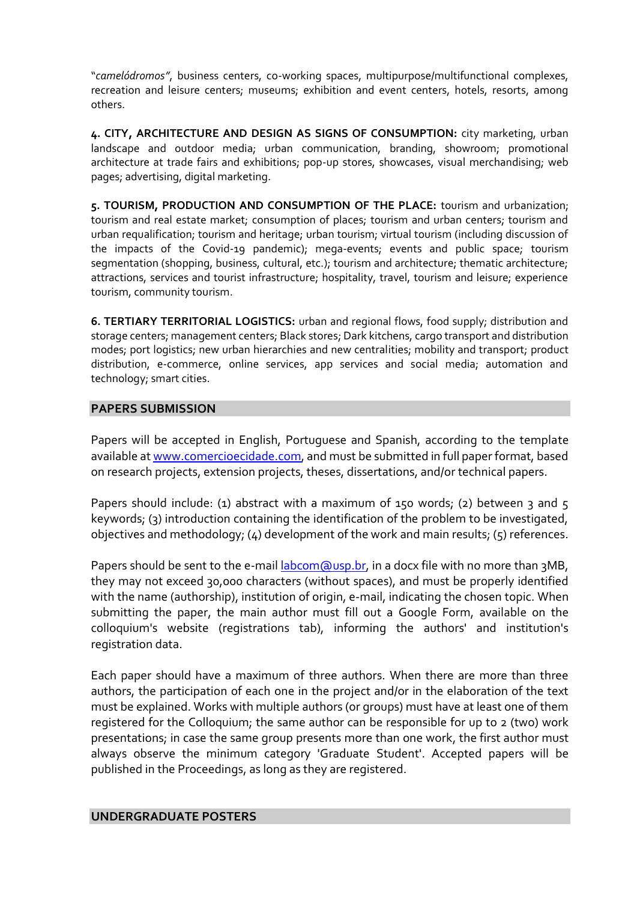"*camelódromos"*, business centers, co-working spaces, multipurpose/multifunctional complexes, recreation and leisure centers; museums; exhibition and event centers, hotels, resorts, among others.

**4. CITY, ARCHITECTURE AND DESIGN AS SIGNS OF CONSUMPTION:** city marketing, urban landscape and outdoor media; urban communication, branding, showroom; promotional architecture at trade fairs and exhibitions; pop-up stores, showcases, visual merchandising; web pages; advertising, digital marketing.

**5. TOURISM, PRODUCTION AND CONSUMPTION OF THE PLACE:** tourism and urbanization; tourism and real estate market; consumption of places; tourism and urban centers; tourism and urban requalification; tourism and heritage; urban tourism; virtual tourism (including discussion of the impacts of the Covid-19 pandemic); mega-events; events and public space; tourism segmentation (shopping, business, cultural, etc.); tourism and architecture; thematic architecture; attractions, services and tourist infrastructure; hospitality, travel, tourism and leisure; experience tourism, community tourism.

**6. TERTIARY TERRITORIAL LOGISTICS:** urban and regional flows, food supply; distribution and storage centers; management centers; Black stores; Dark kitchens, cargo transport and distribution modes; port logistics; new urban hierarchies and new centralities; mobility and transport; product distribution, e-commerce, online services, app services and social media; automation and technology; smart cities.

### **PAPERS SUBMISSION**

Papers will be accepted in English, Portuguese and Spanish, according to the template available at [www.comercioecidade.com,](http://www.comercioecidade.com/) and must be submitted in full paper format, based on research projects, extension projects, theses, dissertations, and/or technical papers.

Papers should include: (1) abstract with a maximum of 150 words; (2) between 3 and 5 keywords; (3) introduction containing the identification of the problem to be investigated, objectives and methodology; (4) development of the work and main results; (5) references.

Papers should be sent to the e-mail labcom @usp.br, in a docx file with no more than 3MB, they may not exceed 30,000 characters (without spaces), and must be properly identified with the name (authorship), institution of origin, e-mail, indicating the chosen topic. When submitting the paper, the main author must fill out a Google Form, available on the colloquium's website (registrations tab), informing the authors' and institution's registration data.

Each paper should have a maximum of three authors. When there are more than three authors, the participation of each one in the project and/or in the elaboration of the text must be explained. Works with multiple authors (or groups) must have at least one of them registered for the Colloquium; the same author can be responsible for up to 2 (two) work presentations; in case the same group presents more than one work, the first author must always observe the minimum category 'Graduate Student'. Accepted papers will be published in the Proceedings, as long as they are registered.

#### **UNDERGRADUATE POSTERS**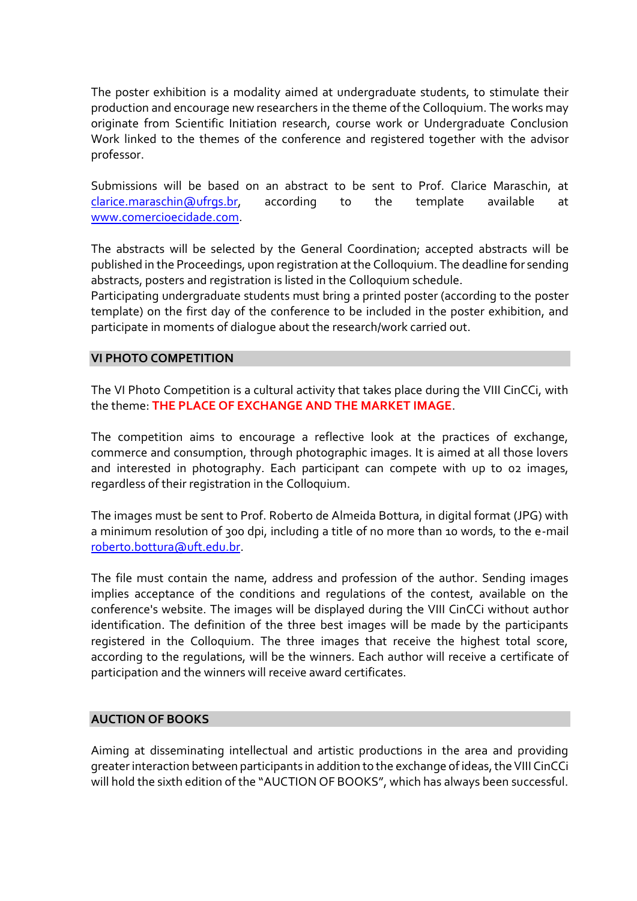The poster exhibition is a modality aimed at undergraduate students, to stimulate their production and encourage new researchers in the theme ofthe Colloquium. The works may originate from Scientific Initiation research, course work or Undergraduate Conclusion Work linked to the themes of the conference and registered together with the advisor professor.

Submissions will be based on an abstract to be sent to Prof. Clarice Maraschin, at [clarice.maraschin@ufrgs.br,](mailto:clarice.maraschin@ufrgs.br) according to the template available at [www.comercioecidade.com.](http://www.comercioecidade.com/)

The abstracts will be selected by the General Coordination; accepted abstracts will be published in the Proceedings, upon registration at the Colloquium. The deadline for sending abstracts, posters and registration is listed in the Colloquium schedule.

Participating undergraduate students must bring a printed poster (according to the poster template) on the first day of the conference to be included in the poster exhibition, and participate in moments of dialogue about the research/work carried out.

#### **VI PHOTO COMPETITION**

The VI Photo Competition is a cultural activity that takes place during the VIII CinCCi, with the theme: **THE PLACE OF EXCHANGE AND THE MARKET IMAGE**.

The competition aims to encourage a reflective look at the practices of exchange, commerce and consumption, through photographic images. It is aimed at all those lovers and interested in photography. Each participant can compete with up to 02 images, regardless of their registration in the Colloquium.

The images must be sent to Prof. Roberto de Almeida Bottura, in digital format (JPG) with a minimum resolution of 300 dpi, including a title of no more than 10 words, to the e-mail [roberto.bottura@uft.edu.br.](mailto:roberto.bottura@uft.edu.br)

The file must contain the name, address and profession of the author. Sending images implies acceptance of the conditions and regulations of the contest, available on the conference's website. The images will be displayed during the VIII CinCCi without author identification. The definition of the three best images will be made by the participants registered in the Colloquium. The three images that receive the highest total score, according to the regulations, will be the winners. Each author will receive a certificate of participation and the winners will receive award certificates.

### **AUCTION OF BOOKS**

Aiming at disseminating intellectual and artistic productions in the area and providing greater interaction between participants in addition to the exchange of ideas, the VIII CinCCi will hold the sixth edition of the "AUCTION OF BOOKS", which has always been successful.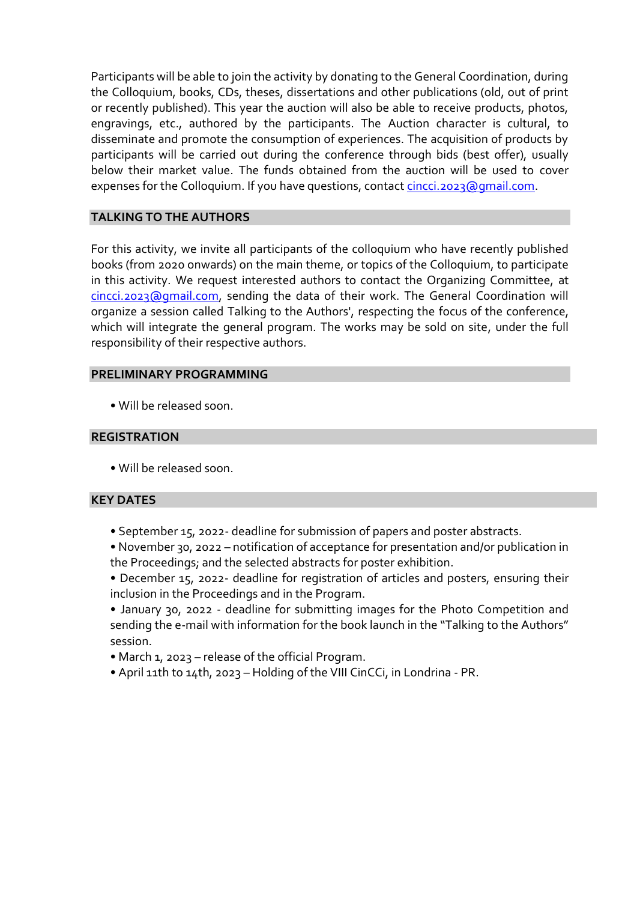Participants will be able to join the activity by donating to the General Coordination, during the Colloquium, books, CDs, theses, dissertations and other publications (old, out of print or recently published). This year the auction will also be able to receive products, photos, engravings, etc., authored by the participants. The Auction character is cultural, to disseminate and promote the consumption of experiences. The acquisition of products by participants will be carried out during the conference through bids (best offer), usually below their market value. The funds obtained from the auction will be used to cover expenses for the Colloquium. If you have questions, contact [cincci.2023@gmail.com.](mailto:cincci.2023@gmail.com)

# **TALKING TO THE AUTHORS**

For this activity, we invite all participants of the colloquium who have recently published books (from 2020 onwards) on the main theme, or topics of the Colloquium, to participate in this activity. We request interested authors to contact the Organizing Committee, at [cincci.2023@gmail.com,](mailto:cincci.2023@gmail.com) sending the data of their work. The General Coordination will organize a session called Talking to the Authors', respecting the focus of the conference, which will integrate the general program. The works may be sold on site, under the full responsibility of their respective authors.

# **PRELIMINARY PROGRAMMING**

• Will be released soon.

# **REGISTRATION**

• Will be released soon.

# **KEY DATES**

- September 15, 2022- deadline for submission of papers and poster abstracts.
- November 30, 2022 notification of acceptance for presentation and/or publication in the Proceedings; and the selected abstracts for poster exhibition.
- December 15, 2022- deadline for registration of articles and posters, ensuring their inclusion in the Proceedings and in the Program.
- January 30, 2022 deadline for submitting images for the Photo Competition and sending the e-mail with information for the book launch in the "Talking to the Authors" session.
- March 1, 2023 release of the official Program.
- April 11th to 14th, 2023 Holding of the VIII CinCCi, in Londrina PR.